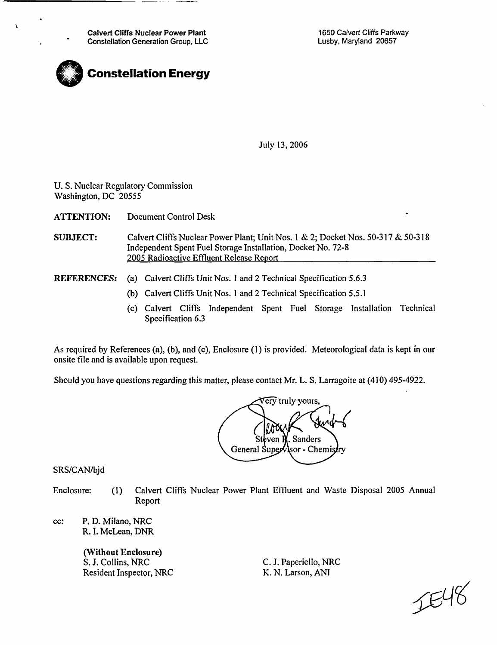Calvert Cliffs Nuclear Power Plant Constellation Generation Group, LLC 1650 Calvert Cliffs Parkway Lusby, Maryland 20657



July 13, 2006

U. S. Nuclear Regulatory Commission Washington, DC 20555

ATTENTION: Document Control Desk

- SUBJECT: Calvert Cliffs Nuclear Power Plant; Unit Nos. **I** & 2; Docket Nos. 50-317 & 50-318 Independent Spent Fuel Storage Installation, Docket No. 72-8 2005 Radioactive Effluent Release Report
- REFERENCES: (a) Calvert Cliffs Unit Nos. **I** and 2 Technical Specification 5.6.3
	- (b) Calvert Cliffs Unit Nos. **I** and 2 Technical Specification 5.5.1
	- (c) Calvert Cliffs Independent Spent Fuel Storage Installation Technical Specification 6.3

As required by References (a), (b), and (c), Enclosure (I) is provided. Meteorological data is kept in our onsite file and is available upon request. As required by References (a), (b), and (c), Enclosure (1) is provided. Meteorological data is kept in our onsite file and is available upon request.<br>Should you have questions regarding this matter, please contact Mr. L. S



SRS/CAN/bjd

- Enclosure: **(1)** Calvert Cliffs Nuclear Power Plant Effluent and Waste Disposal 2005 Annual Report
- cc: P. D. Milano, NRC R. I. McLean, DNR

(Without Enclosure) S. J. Collins, NRC Resident Inspector, NRC

C. J. Paperiello, NRC K. N. Larson, ANI

JE48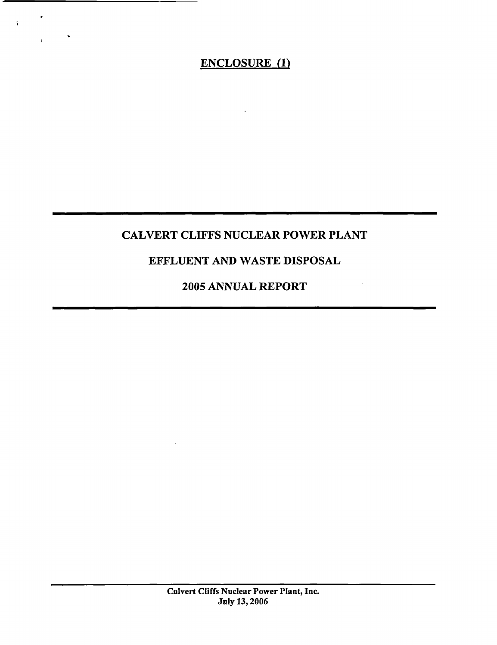# ENCLOSURE (1)

 $\hat{\mathbf{t}}$ 

 $\frac{1}{4}$  .

## CALVERT CLIFFS NUCLEAR POWER PLANT

## EFFLUENT AND WASTE DISPOSAL

## 2005 ANNUAL REPORT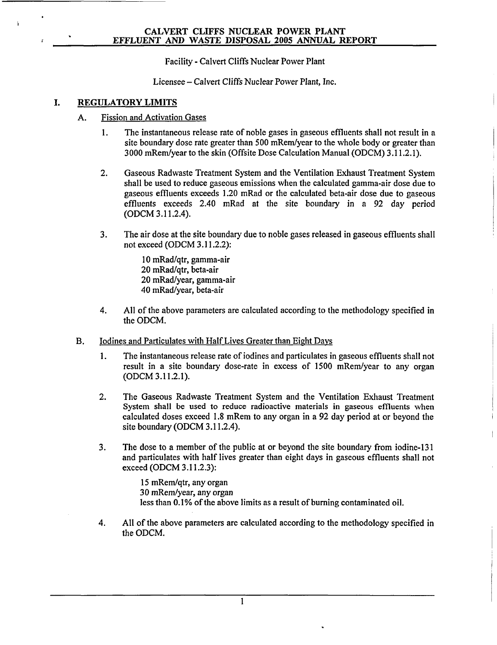Facility - Calvert Cliffs Nuclear Power Plant

Licensee - Calvert Cliffs Nuclear Power Plant, Inc.

#### I. REGULATORY LIMITS

- A. Fission and Activation Gases
	- 1. The instantaneous release rate of noble gases in gaseous effluents shall not result in a site boundary dose rate greater than 500 mRem/year to the whole body or greater than 3000 mRem/year to the skin (Offsite Dose Calculation Manual (ODCM) 3.11.2.1).
	- 2. Gaseous Radwaste Treatment System and the Ventilation Exhaust Treatment System shall be used to reduce gaseous emissions when the calculated gamma-air dose due to gaseous effluents exceeds 1.20 mRad or the calculated beta-air dose due to gaseous effluents exceeds 2.40 mRad at the site boundary in a 92 day period (ODCM 3.11.2.4).
	- 3. The air dose at the site boundary due to noble gases released in gaseous effluents shall not exceed (ODCM 3.11.2.2):

10 mRad/qtr, gamma-air 20 mRad/qtr, beta-air 20 mRad/year, gamma-air 40 mRad/year, beta-air

- 4. All of the above parameters are calculated according to the methodology specified in the ODCM.
- B. Iodines and Particulates with Half Lives Greater than Eight Days
	- 1. The instantaneous release rate of iodines and particulates in gaseous effluents shall not result in a site boundary dose-rate in excess of 1500 mRem/year to any organ (ODCM 3.11.2.1).
	- 2. The Gaseous Radwaste Treatment System and the Ventilation Exhaust Treatment System shall be used to reduce radioactive materials in gaseous effluents when calculated doses exceed 1.8 mRem to any organ in a 92 day period at or beyond the site boundary (ODCM 3.11.2.4).
	- 3. The dose to a member of the public at or beyond the site boundary from iodine-131 and particulates with half lives greater than eight days in gaseous effluents shall not exceed (ODCM 3.11.2.3):

15 mRem/qtr, any organ 30 mRem/year, any organ less than 0.1% of the above limits as a result of burning contaminated oil.

4. All of the above parameters are calculated according to the methodology specified in the ODCM.

**I**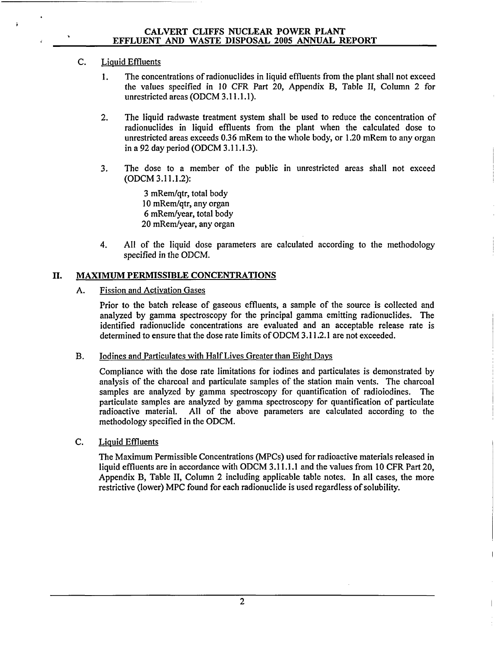### C. Liquid Effluents

- 1. The concentrations of radionuclides in liquid effluents from the plant shall not exceed the values specified in 10 CFR Part 20, Appendix B, Table II, Column 2 for unrestricted areas (ODCM 3.11.1.1).
- 2. The liquid radwaste treatment system shall be used to reduce the concentration of radionuclides in liquid effluents from the plant when the calculated dose to unrestricted areas exceeds 0.36 mRem to the whole body, or 1.20 mRem to any organ in a 92 day period (ODCM 3.11.1.3).
- 3. The dose to a member of the public in unrestricted areas shall not exceed (ODCM 3.11.1.2):

3 mRem/qtr, total body 10 mRem/qtr, any organ 6 mRem/year, total body 20 mRem/year, any organ

4. All of the liquid dose parameters are calculated according to the methodology specified in the ODCM.

### II. MAXIMUM PERMISSIBLE CONCENTRATIONS

A. Fission and Activation Gases

Prior to the batch release of gaseous effluents, a sample of the source is collected and analyzed by gamma spectroscopy for the principal gamma emitting radionuclides. The identified radionuclide concentrations are evaluated and an acceptable release rate is determined to ensure that the dose rate limits of ODCM 3.11.2.1 are not exceeded.

B. Iodines and Particulates with Half Lives Greater than Eight Days

Compliance with the dose rate limitations for iodines and particulates is demonstrated by analysis of the charcoal and particulate samples of the station main vents. The charcoal samples are analyzed by gamma spectroscopy for quantification of radioiodines. The particulate samples are analyzed by gamma spectroscopy for quantification of particulate radioactive material. All of the above parameters are calculated according to the methodology specified in the ODCM.

C. Liquid Effluents

The Maximum Permissible Concentrations (MPCs) used for radioactive materials released in liquid effluents are in accordance with ODCM 3.11.1.1 and the values from 10 CFR Part 20, Appendix B, Table II, Column 2 including applicable table notes. In all cases, the more restrictive (lower) MPC found for each radionuclide is used regardless of solubility.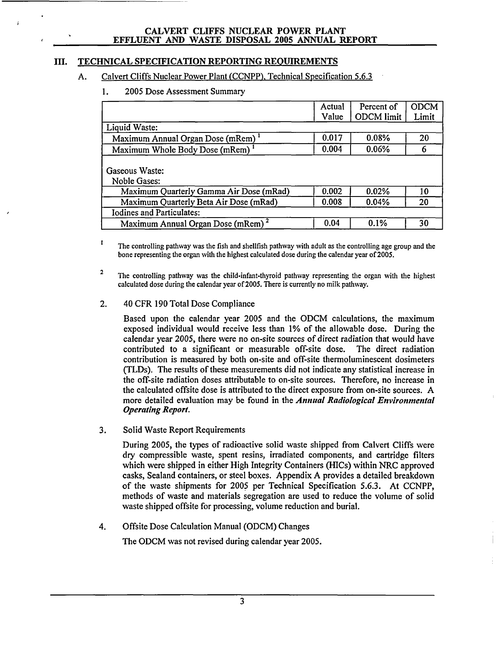### **III. TECHNICAL SPECIFICATION** REPORTING **REQUIREMENTS**

### **A.** Calvert Cliffs Nuclear Power Plant (CCNPP), Technical Specification **5.6.3**

**1. 2005** Dose Assessment Summary

|                                               | Actual | Percent of | <b>ODCM</b> |
|-----------------------------------------------|--------|------------|-------------|
|                                               | Value  | ODCM limit | Limit       |
| Liquid Waste:                                 |        |            |             |
| Maximum Annual Organ Dose (mRem)              | 0.017  | 0.08%      | 20          |
| Maximum Whole Body Dose (mRem)                | 0.004  | 0.06%      | 6           |
| Gaseous Waste:<br>Noble Gases:                |        |            |             |
| Maximum Quarterly Gamma Air Dose (mRad)       | 0.002  | 0.02%      | 10          |
| Maximum Quarterly Beta Air Dose (mRad)        | 0.008  | 0.04%      | 20          |
| <b>Iodines and Particulates:</b>              |        |            |             |
| Maximum Annual Organ Dose (mRem) <sup>2</sup> | 0.04   | 0.1%       | 30          |

 $\mathbf{I}$ The controlling pathway was the fish and shellfish pathway with adult as the controlling age group and the bone representing the organ with the highest calculated dose during the calendar year of 2005.

<sup>2</sup> The controlling pathway was the child-infant-thyroid pathway representing the organ with the highest calculated dose during the calendar year of 2005. There is currently no milk pathway.

#### 2. 40 CFR 190 Total Dose Compliance

Based upon the calendar year 2005 and the ODCM calculations, the maximum exposed individual would receive less than 1% of the allowable dose. During the calendar year 2005, there were no on-site sources of direct radiation that would have contributed to a significant or measurable off-site dose. The direct radiation contribution is measured by both on-site and off-site thermoluminescent dosimeters (TLDs). The results of these measurements did not indicate any statistical increase in the off-site radiation doses attributable to on-site sources. Therefore, no increase in the calculated offsite dose is attributed to the direct exposure from on-site sources. A more detailed evaluation may be found in the *Annual Radiological Environmental Operating Report.*

3. Solid Waste Report Requirements

During 2005, the types of radioactive solid waste shipped from Calvert Cliffs were dry compressible waste, spent resins, irradiated components, and cartridge filters which were shipped in either High Integrity Containers (HICs) within NRC approved casks, Sealand containers, or steel boxes. Appendix A provides a detailed breakdown of the waste shipments for 2005 per Technical Specification **5.6.3.** At CCNPP, methods of waste and materials segregation are used to reduce the volume of solid waste shipped offsite for processing, volume reduction and burial.

4. Offsite Dose Calculation Manual (ODCM) Changes

The ODCM was not revised during calendar year 2005.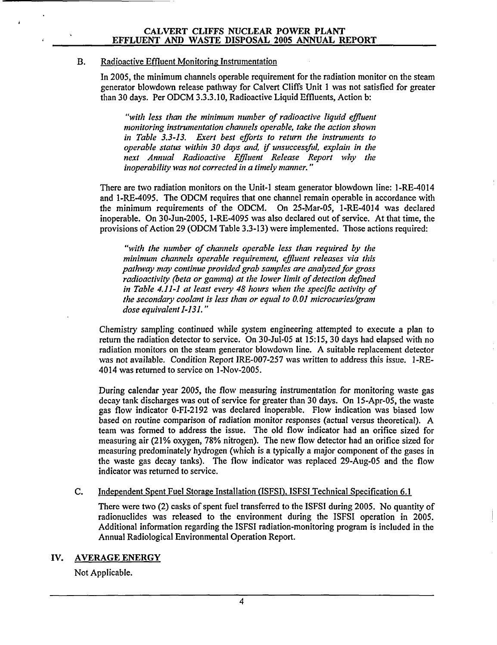#### B. Radioactive Effluent Monitoring Instrumentation

In 2005, the minimum channels operable requirement for the radiation monitor on the steam generator blowdown release pathway for Calvert Cliffs Unit **I** was not satisfied for greater than 30 days. Per ODCM 3.3.3.10, Radioactive Liquid Effluents, Action b:

*"with less than the minimum number of radioactive liquid effluent monitoring instrumentation channels operable, take the action shown in Table 3.3-13. Exert best efforts to return the instruments to operable status within 30 days and, if unsuccessful, explain in the next Annual Radioactive Effluent Release Report why the inoperability was not corrected in a timely manner."*

There are two radiation monitors on the Unit-I steam generator blowdown line: 1-RE-4014 and 1-RE-4095. The ODCM requires that one channel remain operable in accordance with the minimum requirements of the ODCM. On 25-Mar-05, 1-RE-4014 was declared inoperable. On 30-Jun-2005, 1-RE-4095 was also declared out of service. At that time, the provisions of Action 29 (ODCM Table 3.3-13) were implemented. Those actions required:

*"with the number of channels operable less than required by the minimum channels operable requirement, effluent releases via this pathway may continue provided grab samples are analyzed for gross radioactivity (beta or gamma) at the lower limit of detection defined in Table 4.11-1 at least every 48 hours when the specific activity of the secondary coolant is less than or equal to 0.01 microcuries/gram dose equivalent 1-131."*

Chemistry sampling continued while system engineering attempted to execute a plan to return the radiation detector to service. On 30-Jul-05 at 15:15, 30 days had elapsed with no radiation monitors on the steam generator blowdown line. A suitable replacement detector was not available. Condition Report IRE-007-257 was written to address this issue. 1-RE-4014 was returned to service on 1-Nov-2005.

During calendar year 2005, the flow measuring instrumentation for monitoring waste gas decay tank discharges was out of service for greater than 30 days. On 15-Apr-05, the waste gas flow indicator 0-FI-2192 was declared inoperable. Flow indication was biased low based on routine comparison of radiation monitor responses (actual versus theoretical). A team was formed to address the issue. The old flow indicator had an orifice sized for measuring air (21% oxygen, 78% nitrogen). The new flow detector had an orifice sized for measuring predominately hydrogen (which is a typically a major component of the gases in the waste gas decay tanks). The flow indicator was replaced 29-Aug-05 and the flow indicator was returned to service.

#### C. Independent Spent Fuel Storage Installation (ISFSI), ISFSI Technical Specification 6.1

There were two (2) casks of spent fuel transferred to the ISFSI during 2005. No quantity of radionuclides was released to the environment during the ISFSI operation in 2005. Additional information regarding the ISFSI radiation-monitoring program is included in the Annual Radiological Environmental Operation Report.

#### IV. AVERAGE ENERGY

Not Applicable.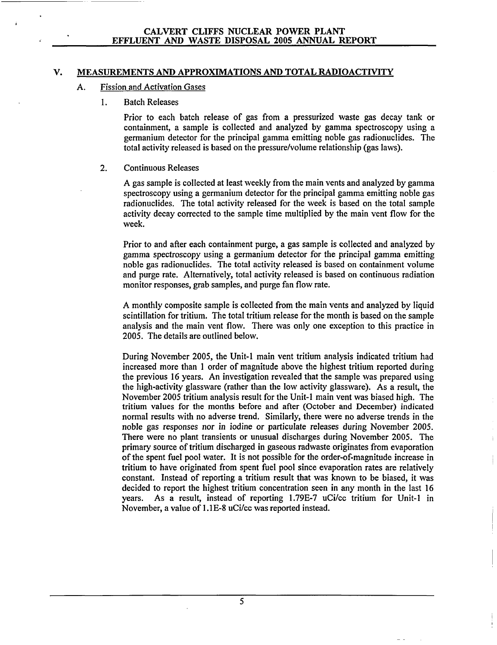#### V. **MEASUREMENTS AND** APPROXIMATIONS **AND** TOTAL RADIOACTIVITY

#### **A.** Fission and Activation Gases

**I.** Batch Releases

Prior to each batch release of gas from a pressurized waste gas decay tank or containment, a sample is collected and analyzed by gamma spectroscopy using a germanium detector for the principal gamma emitting noble gas radionuclides. The total activity released is based on the pressure/volume relationship (gas laws).

#### 2. Continuous Releases

A gas sample is collected at least weekly from the main vents and analyzed by gamma spectroscopy using a germanium detector for the principal gamma emitting noble gas radionuclides. The total activity released for the week is based on the total sample activity decay corrected to the sample time multiplied by the main vent flow for the week.

Prior to and after each containment purge, a gas sample is collected and analyzed by gamma spectroscopy using a germanium detector for the principal gamma emitting noble gas radionuclides. The total activity released is based on containment volume and purge rate. Alternatively, total activity released is based on continuous radiation monitor responses, grab samples, and purge fan flow rate.

A monthly composite sample is collected from the main vents and analyzed by liquid scintillation for tritium. The total tritium release for the month is based on the sample analysis and the main vent flow. There was only one exception to this practice in 2005. The details are outlined below.

During November 2005, the Unit-1 main vent tritium analysis indicated tritium had increased more than 1 order of magnitude above the highest tritium reported during the previous 16 years. An investigation revealed that the sample was prepared using the high-activity glassware (rather than the low activity glassware). As a result, the November 2005 tritium analysis result for the Unit-1 main vent was biased high. The tritium values for the months before and after (October and December) indicated normal results with no adverse trend. Similarly, there were no adverse trends in the noble gas responses nor in iodine or particulate releases during November 2005. There were no plant transients or unusual discharges during November 2005. The primary source of tritium discharged in gaseous radwaste originates from evaporation of the spent fuel pool water. It is not possible for the order-of-magnitude increase in tritium to have originated from spent fuel pool since evaporation rates are relatively constant. Instead of reporting a tritium result that was known to be biased, it was decided to report the highest tritium concentration seen in any month in the last 16 years. As a result, instead of reporting 1.79E-7 uCi/cc tritium for Unit-1 in November, a value of 1.1E-8 uCi/cc was reported instead.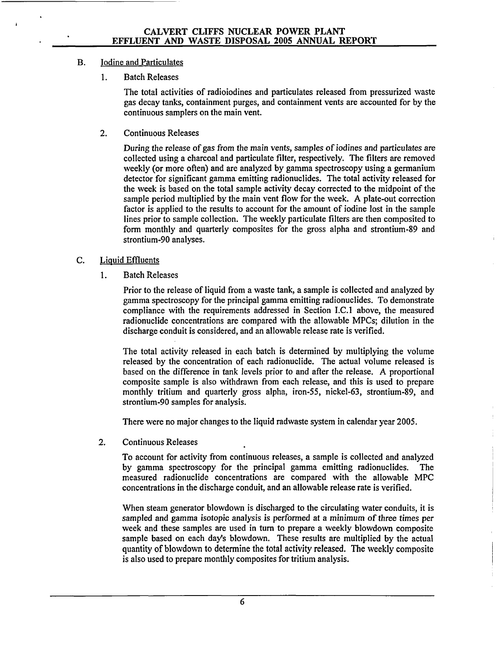### B. Iodine and Particulates

1. Batch Releases

The total activities of radioiodines and particulates released from pressurized waste gas decay tanks, containment purges, and containment vents are accounted for by the continuous samplers on the main vent.

2. Continuous Releases

During the release of gas from the main vents, samples of iodines and particulates are collected using a charcoal and particulate filter, respectively. The filters are removed weekly (or more often) and are analyzed by gamma spectroscopy using a germanium detector for significant gamma emitting radionuclides. The total activity released for the week is based on the total sample activity decay corrected to the midpoint of the sample period multiplied by the main vent flow for the week. A plate-out correction factor is applied to the results to account for the amount of iodine lost in the sample lines prior to sample collection. The weekly particulate filters are then composited to form monthly and quarterly composites for the gross alpha and strontium-89 and strontium-90 analyses.

### C. Liquid Effluents

**1.** Batch Releases

Prior to the release of liquid from a waste tank, a sample is collected and analyzed by gamma spectroscopy for the principal gamma emitting radionuclides. To demonstrate compliance with the requirements addressed in Section I.C.1 above, the measured radionuclide concentrations are compared with the allowable MPCs; dilution in the discharge conduit is considered, and an allowable release rate is verified.

The total activity released in each batch is determined by multiplying the volume released by the concentration of each radionuclide. The actual volume released is based on the difference in tank levels prior to and after the release. A proportional composite sample is also withdrawn from each release, and this is used to prepare monthly tritium and quarterly gross alpha, iron-55, nickel-63, strontium-89, and strontium-90 samples for analysis.

There were no major changes to the liquid radwaste system in calendar year 2005.

2. Continuous Releases

To account for activity from continuous releases, a sample is collected and analyzed by gamma spectroscopy for the principal gamma emitting radionuclides. The measured radionuclide concentrations are compared with the allowable MPC concentrations in the discharge conduit, and an allowable release rate is verified.

When steam generator blowdown is discharged to the circulating water conduits, it is sampled and gamma isotopic analysis is performed at a minimum of three times per week and these samples are used in turn to prepare a weekly blowdown composite sample based on each day's blowdown. These results are multiplied by the actual quantity of blowdown to determine the total activity released. The weekly composite is also used to prepare monthly composites for tritium analysis.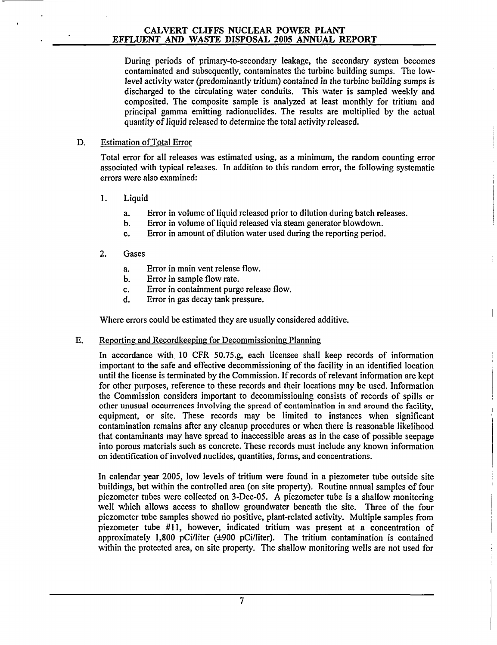During periods of primary-to-secondary leakage, the secondary system becomes contaminated and subsequently, contaminates the turbine building sumps. The lowlevel activity water (predominantly tritium) contained in the turbine building sumps is discharged to the circulating water conduits. This water is sampled weekly and composited. The composite sample is analyzed at least monthly for tritium and principal gamma emitting radionuclides. The results are multiplied by the actual quantity of liquid released to determine the total activity released.

### D. Estimation of Total Error

Total error for all releases was estimated using, as a minimum, the random counting error associated with typical releases. In addition to this random error, the following systematic errors were also examined:

### 1. Liquid

- a. Error in volume of liquid released prior to dilution during batch releases.
- b. Error in volume of liquid released via steam generator blowdown.
- c. Error in amount of dilution water used during the reporting period.
- 2. Gases
	- a. Error in main vent release flow.
	- b. Error in sample flow rate.
	- c. Error in containment purge release flow.
	- d. Error in gas decay tank pressure.

Where errors could be estimated they are usually considered additive.

### E. Reporting and Recordkeeping for Decommissioning Planning

In accordance with 10 CFR 50.75.g, each licensee shall keep records of information important to the safe and effective decommissioning of the facility in an identified location until the license is terminated by the Commission. If records of relevant information are kept for other purposes, reference to these records and their locations may be used. Information the Commission considers important to decommissioning consists of records of spills or other unusual occurrences involving the spread of contamination in and around the facility, equipment, or site. These records may be limited to instances when significant contamination remains after any cleanup procedures or when there is reasonable likelihood that contaminants may have spread to inaccessible areas as in the case of possible seepage into porous materials such as concrete. These records must include any known information on identification of involved nuclides, quantities, forms, and concentrations.

In calendar year 2005, low levels of tritium were found in a piezometer tube outside site buildings, but within the controlled area (on site property). Routine annual samples of four piezometer tubes were collected on 3-Dec-05. A piezometer tube is a shallow monitoring well which allows access to shallow groundwater beneath the site. Three of the four piezometer tube samples showed rio positive, plant-related activity. Multiple samples from piezometer tube #11, however, indicated tritium was present at a concentration of approximately 1,800 pCi/liter  $(\pm 900 \text{ pCi/liter})$ . The tritium contamination is contained within the protected area, on site property. The shallow monitoring wells are not used for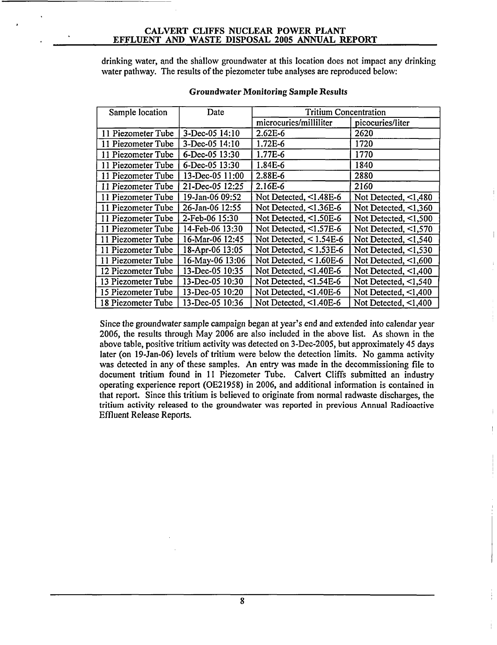drinking water, gnd the shallow groundwater at this location does not impact any drinking water pathway. The results of the piezometer tube analyses are reproduced below:

| Sample location    | Date            | <b>Tritium Concentration</b> |                            |  |
|--------------------|-----------------|------------------------------|----------------------------|--|
|                    |                 | microcuries/milliliter       | picocuries/liter           |  |
| 11 Piezometer Tube | 3-Dec-05 14:10  | 2.62E-6                      | 2620                       |  |
| 11 Piezometer Tube | 3-Dec-05 14:10  | 1.72E-6                      | 1720                       |  |
| 11 Piezometer Tube | 6-Dec-05 13:30  | 1.77E-6                      | 1770                       |  |
| 11 Piezometer Tube | 6-Dec-05 13:30  | 1.84E-6                      | 1840                       |  |
| 11 Piezometer Tube | 13-Dec-05 11:00 | 2.88E-6                      | 2880                       |  |
| 11 Piezometer Tube | 21-Dec-05 12:25 | 2.16E-6                      | 2160                       |  |
| 11 Piezometer Tube | 19-Jan-06 09:52 | Not Detected, <1.48E-6       | Not Detected, $\leq 1,480$ |  |
| 11 Piezometer Tube | 26-Jan-06 12:55 | Not Detected, <1.36E-6       | Not Detected, $\leq 1,360$ |  |
| 11 Piezometer Tube | 2-Feb-06 15:30  | Not Detected, $<1.50E-6$     | Not Detected, <1,500       |  |
| 11 Piezometer Tube | 14-Feb-06 13:30 | Not Detected, $<1.57E-6$     | Not Detected, $\leq 1,570$ |  |
| 11 Piezometer Tube | 16-Mar-06 12:45 | Not Detected, $< 1.54E-6$    | Not Detected, <1,540       |  |
| 11 Piezometer Tube | 18-Apr-06 13:05 | Not Detected, $<$ 1.53E-6    | Not Detected, $\leq 1,530$ |  |
| 11 Piezometer Tube | 16-May-06 13:06 | Not Detected, $<$ 1.60E-6    | Not Detected, $\leq 1,600$ |  |
| 12 Piezometer Tube | 13-Dec-05 10:35 | Not Detected, $\leq$ 1.40E-6 | Not Detected, $\leq 1,400$ |  |
| 13 Piezometer Tube | 13-Dec-05 10:30 | Not Detected, $\leq$ 1.54E-6 | Not Detected, $\leq 1,540$ |  |
| 15 Piezometer Tube | 13-Dec-05 10:20 | Not Detected, <1.40E-6       | Not Detected, $\leq$ 1,400 |  |
| 18 Piezometer Tube | 13-Dec-05 10:36 | Not Detected, $\leq$ 1.40E-6 | Not Detected, $\leq 1,400$ |  |

#### Groundwater Monitoring Sample Results

Since the groundwater sample campaign began at year's end and extended into calendar year 2006, the results through May 2006 are also included in the above list. As shown in the above table, positive tritium activity was detected on 3-Dec-2005, but approximately 45 days later (on 19-Jan-06) levels of tritium were below the detection limits. No gamma activity was detected in any of these samples. An entry was made in the decommissioning file to document tritium found in 11 Piezometer Tube. Calvert Cliffs submitted an industry operating experience report (OE21958) in 2006, and additional information is contained in that report. Since this tritium is believed to originate from normal radwaste discharges, the tritium activity released to the groundwater was reported in previous Annual Radioactive Effluent Release Reports.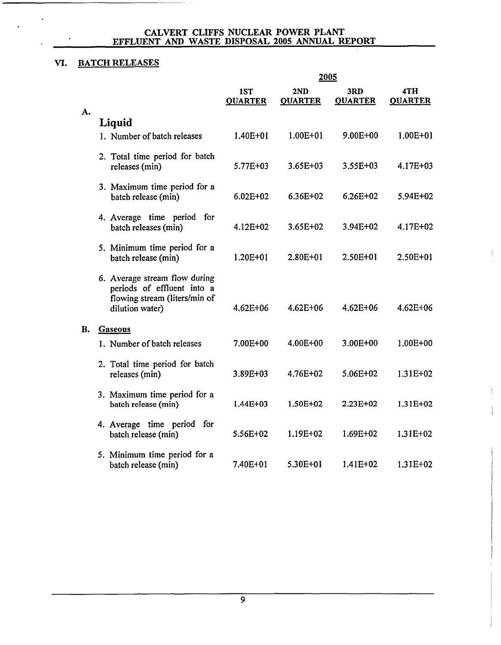### VI. BATCH **RELEASES**

|           |                                                                                                                 |                       | 2005                  |                       |                       |
|-----------|-----------------------------------------------------------------------------------------------------------------|-----------------------|-----------------------|-----------------------|-----------------------|
|           |                                                                                                                 | 1ST<br><b>QUARTER</b> | 2ND<br><b>QUARTER</b> | 3RD<br><b>QUARTER</b> | 4TH<br><b>QUARTER</b> |
| A.        | Liquid                                                                                                          |                       |                       |                       |                       |
|           | 1. Number of batch releases                                                                                     | 1.40E+01              | $1.00E + 01$          | 9.00E+00              | $1.00E + 01$          |
|           | 2. Total time period for batch<br>releases (min)                                                                | 5.77E+03              | 3.65E+03              | 3.55E+03              | 4.17E+03              |
|           | 3. Maximum time period for a<br>batch release (min)                                                             | $6.02E + 02$          | $6.36E + 02$          | 6.26E+02              | 5.94E+02              |
|           | 4. Average time period for<br>batch releases (min)                                                              | 4.12E+02              | 3.65E+02              | 3.94E+02              | 4.17E+02              |
|           | 5. Minimum time period for a<br>batch release (min)                                                             | 1.20E+01              | $2.80E + 01$          | 2.50E+01              | $2.50E + 01$          |
|           | 6. Average stream flow during<br>periods of effluent into a<br>flowing stream (liters/min of<br>dilution water) | $4.62E + 06$          | $4.62E + 06$          | $4.62E + 06$          | $4.62E + 06$          |
| <b>B.</b> | Gaseous                                                                                                         |                       |                       |                       |                       |
|           | 1. Number of batch releases                                                                                     | 7.00E+00              | 4.00E+00              | 3.00E+00              | 1.00E+00              |
|           | 2. Total time period for batch<br>releases (min)                                                                | 3.89E+03              | 4.76E+02              | 5.06E+02              | $1.31E + 02$          |
|           | 3. Maximum time period for a<br>batch release (min)                                                             | $1.44E + 03$          | 1.50E+02              | 2.23E+02              | $1.31E+02$            |
|           | 4. Average time period for<br>batch release (min)                                                               | 5.56E+02              | 1.19E+02              | 1,69E+02              | 1.31E+02              |
|           | 5. Minimum time period for a<br>batch release (min)                                                             | 7.40E+01              | 5.30E+01              | 1.41E+02              | 1.31E+02              |

 $\left\vert \cdot \right\rangle$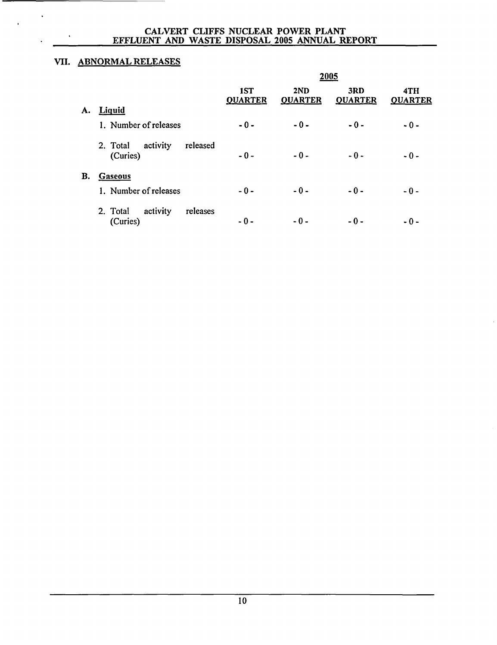### VII. ABNORMAL RELEASES

 $\ddot{\phantom{1}}$ 

|    |                                              |                       |                       | 2005                  |                       |
|----|----------------------------------------------|-----------------------|-----------------------|-----------------------|-----------------------|
|    |                                              | 1ST<br><b>QUARTER</b> | 2ND<br><b>QUARTER</b> | 3RD<br><b>OUARTER</b> | 4TH<br><b>OUARTER</b> |
| A. | <b>Liquid</b>                                |                       |                       |                       |                       |
|    | 1. Number of releases                        | $-0-$                 | $-0-$                 | $-0-$                 | $-0-$                 |
|    | activity<br>released<br>2. Total<br>(Curies) | $-0-$                 | $-0-$                 | $-0-$                 | $-0-$                 |
| В. | <b>Gaseous</b>                               |                       |                       |                       |                       |
|    | 1. Number of releases                        | $-0-$                 | $-0-$                 | $-0-$                 | $-0-$                 |
|    | activity<br>2. Total<br>releases<br>(Curies) | - 0 -                 | $-0-$                 | $-0-$                 | - 0 -                 |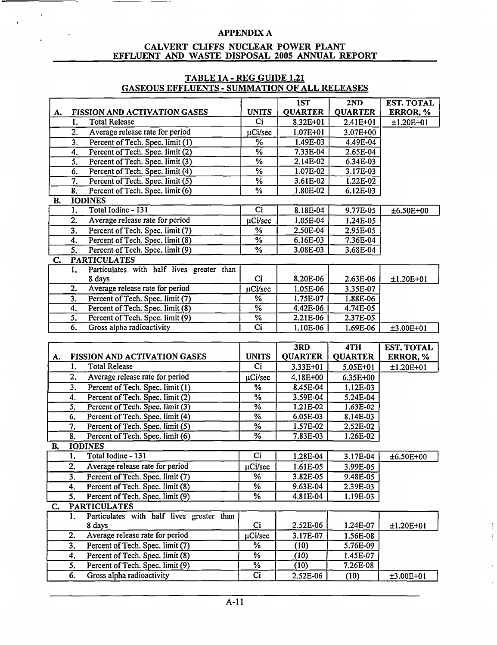#### CALVERT **CLIFFS NUCLEAR** POWER **PLANT EFFLUENT AND** WASTE **DISPOSAL 2005 ANNUAL** REPORT

|    |                  |                                           |                          | 1ST            | 2ND            | <b>EST. TOTAL</b> |
|----|------------------|-------------------------------------------|--------------------------|----------------|----------------|-------------------|
| A. |                  | FISSION AND ACTIVATION GASES              | <b>UNITS</b>             | <b>QUARTER</b> | <b>QUARTER</b> | ERROR, %          |
|    | 1.               | <b>Total Release</b>                      | Ci                       | 8.32E+01       | 2.41E+01       | $±1.20E+01$       |
|    | 2.               | Average release rate for period           | µCi/sec                  | $1.07E + 01$   | 3.07E+00       |                   |
|    | 3.               | Percent of Tech. Spec. limit (1)          | %                        | 1.49E-03       | 4.49E-04       |                   |
|    | 4.               | Percent of Tech. Spec. limit (2)          | $\overline{\frac{9}{6}}$ | 7.33E-04       | $2.65E-04$     |                   |
|    | 5.               | Percent of Tech. Spec. limit (3)          | $\overline{\frac{9}{6}}$ | 2.14E-02       | 6.34E-03       |                   |
|    | 6.               | Percent of Tech. Spec. limit (4)          | $\overline{\frac{9}{6}}$ | 1.07E-02       | 3.17E-03       |                   |
|    | 7.               | Percent of Tech. Spec. limit (5)          | $\overline{\frac{9}{6}}$ | 3.61E-02       | 1.22E-02       |                   |
|    | 8.               | Percent of Tech. Spec. limit (6)          | $\overline{\frac{9}{6}}$ | 1.80E-02       | 6.12E-03       |                   |
| B. |                  | <b>IODINES</b>                            |                          |                |                |                   |
|    | 1.               | Total Iodine - 131                        | C <sub>i</sub>           | 8.18E-04       | 9.77E-05       | ±6.50E+00         |
|    | 2.               | Average release rate for period           | µCi/sec                  | 1.05E-04       | 1.24E-05       |                   |
|    | 3 <sub>1</sub>   | Percent of Tech. Spec. limit (7)          | %                        | 2.50E-04       | 2.95E-05       |                   |
|    | 4.               | Percent of Tech. Spec. limit (8)          | $\sqrt{6}$               | 6.16E-03       | 7.36E-04       |                   |
|    | 5 <sub>1</sub>   | Percent of Tech. Spec. limit (9)          | %                        | 3.08E-03       | 3.68E-04       |                   |
| C. |                  | <b>PARTICULATES</b>                       |                          |                |                |                   |
|    | 1.               | Particulates with half lives greater than |                          |                |                |                   |
|    |                  | 8 days                                    | Ci                       | 8.20E-06       | 2.63E-06       | ±1.20E+01         |
|    | 2.               | Average release rate for period           | µCi/sec                  | 1.05E-06       | 3.35E-07       |                   |
|    | $\overline{3}$ . | Percent of Tech. Spec. limit (7)          | $\overline{\frac{9}{6}}$ | 1.75E-07       | 1.88E-06       |                   |
|    | 4.               | Percent of Tech. Spec. limit (8)          | $\overline{\%}$          | 4.42E-06       | 4.74E-05       |                   |
|    | 5.               | Percent of Tech. Spec. limit (9)          | $\overline{\frac{9}{6}}$ | 2.21E-06       | $2.37E-0.5$    |                   |
|    | 6.               | Gross alpha radioactivity                 | $\overline{ci}$          | 1.10E-06       | 1.69E-06       | $±3.00E+01$       |
|    |                  |                                           |                          |                |                |                   |
|    |                  |                                           |                          |                |                |                   |
|    |                  |                                           |                          | 3RD            | 4TH            | <b>EST. TOTAL</b> |
| A. |                  | FISSION AND ACTIVATION GASES              | <b>UNITS</b>             | <b>QUARTER</b> | <b>QUARTER</b> | ERROR, %          |
|    | 1.               | <b>Total Release</b>                      | Ci                       | 3.33E+01       | 5.05E+01       | $±1.20E+01$       |
|    | 2.               | Average release rate for period           | µCi/sec                  | 4.18E+00       | 6.35E+00       |                   |
|    | 3 <sub>1</sub>   | Percent of Tech. Spec. limit $(1)$        | $\frac{9}{6}$            | 8.45E-04       | 1.12E-03       |                   |
|    | 4.               | Percent of Tech. Spec. limit (2)          | $\overline{\frac{9}{6}}$ | 3.59E-04       | 5.24E-04       |                   |
|    | $\overline{5}$ . | Percent of Tech. Spec. limit (3)          | $\overline{\%}$          | 1.21E-02       | $1.63E-02$     |                   |
|    | 6.               | Percent of Tech. Spec. limit (4)          | $\overline{\frac{9}{6}}$ | 6.05E-03       | 8.14E-03       |                   |
|    | 7.               | Percent of Tech. Spec. limit (5)          | $\overline{\frac{9}{6}}$ | 1.57E-02       | 2.52E-02       |                   |
|    | 8.               | Percent of Tech. Spec. limit (6)          | $\overline{\frac{9}{6}}$ | 7.83E-03       | 1.26E-02       |                   |
| В. |                  | <b>IODINES</b>                            |                          |                |                |                   |
|    | $\overline{1}$ . | Total Iodine - 131                        | $\overline{ci}$          | $1.28E-04$     | $3.17E-04$     | $\pm 6.50E + 00$  |
|    | 2.               | Average release rate for period           | uCi/sec                  | 1.61E-05       | 3.99E-05       |                   |
|    | $\overline{3}$ . | Percent of Tech. Spec. limit (7)          | %                        | 3.82E-05       | 9.48E-05       |                   |
|    | 4.               | Percent of Tech. Spec. limit (8)          | %                        | 9.63E-04       | 2.39E-03       |                   |
|    | 5.               | Percent of Tech. Spec. limit (9)          | %                        | 4.81E-04       | 1.19E-03       |                   |
| C. |                  | <b>PARTICULATES</b>                       |                          |                |                |                   |
|    | 1.               | Particulates with half lives greater than |                          |                |                |                   |
|    |                  | 8 days                                    | Ci                       | 2.52E-06       | 1.24E-07       | $±1.20E+01$       |
|    | 2.               | Average release rate for period           | µCi/sec                  | 3.17E-07       | 1.56E-08       |                   |
|    | 3.               | Percent of Tech. Spec. limit (7)          | ℅                        | (10)           | 5.76E-09       |                   |
|    | 4.               | Percent of Tech. Spec. limit (8)          | $\frac{9}{6}$            | (10)           | 1.45E-07       |                   |
|    | 5.               | Percent of Tech. Spec. limit (9)          | ℅                        | (10)           | 7.26E-08       |                   |

#### TABLE **1A** - REG **GUIDE** 1.21 **GASEOUS EFFLUENTS** - **SUMMATION** OF **ALL RELEASES**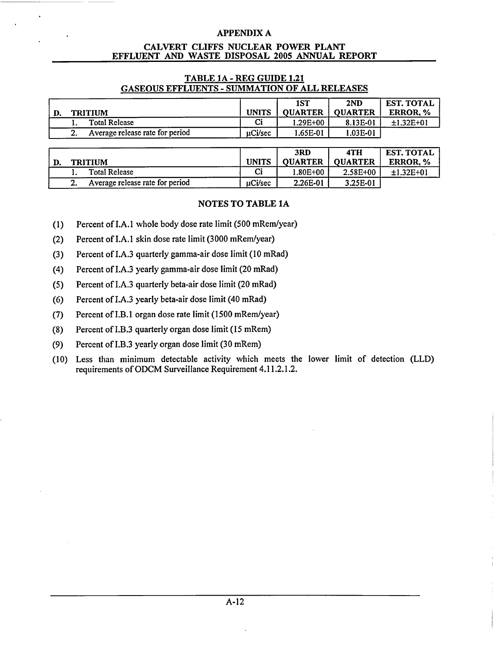#### CALVERT CLIFFS **NUCLEAR** POWER **PLANT EFFLUENT AND** WASTE **DISPOSAL 2005 ANNUAL** REPORT

#### TABLE **1A** - REG **GUIDE** 1.21 **GASEOUS EFFLUENTS** - **SUMMATION** OF **ALL RELEASES**

|                                 |              | 1ST            | 2ND            | <b>EST. TOTAL</b> |
|---------------------------------|--------------|----------------|----------------|-------------------|
| <b>TRITIUM</b>                  | <b>UNITS</b> | <b>OUARTER</b> | <b>OUARTER</b> | <b>ERROR.</b> %   |
| <b>Total Release</b>            | Ci           | 1.29E+00       | 8.13E-01       | $±1.32E+01$       |
| Average release rate for period | uCi/sec      | 1.65E-01       | 1.03E-01       |                   |

|                                     |              | 3RD            | 4TH            | <b>EST. TOTAL</b> |
|-------------------------------------|--------------|----------------|----------------|-------------------|
| <b>TRITIUM</b>                      | <b>UNITS</b> | <b>OUARTER</b> | <b>OUARTER</b> | <b>ERROR.</b> %   |
| <b>Total Release</b>                | Ci           | 1.80E+00       | 2.58E+00       | $±1.32E+01$       |
| Average release rate for period<br> | uCi/sec      | 2.26E-01       | 3.25E-01       |                   |

### NOTES TO TABLE **1A**

- (1) Percent of I.A.1 whole body dose rate limit (500 mRem/year)
- (2) Percent of I.A.1 skin dose rate limit (3000 mRem/year)
- (3) Percent of I.A.3 quarterly gamma-air dose limit (10 mRad)
- (4) Percent of I.A.3 yearly gamma-air dose limit (20 mRad)
- (5) Percent of I.A.3 quarterly beta-air dose limit (20 mRad)
- (6) Percent of I.A.3 yearly beta-air dose limit (40 mRad)
- (7) Percent of I.B.1 organ dose rate limit (1500 mRem/year)
- (8) Percent of I.B.3 quarterly organ dose limit (15 mRem)
- (9) Percent of I.B.3 yearly organ dose limit (30 mRem)
- (10) Less than minimum detectable activity which meets the lower limit of detection (LLD) requirements of ODCM Surveillance Requirement 4.11.2.1.2.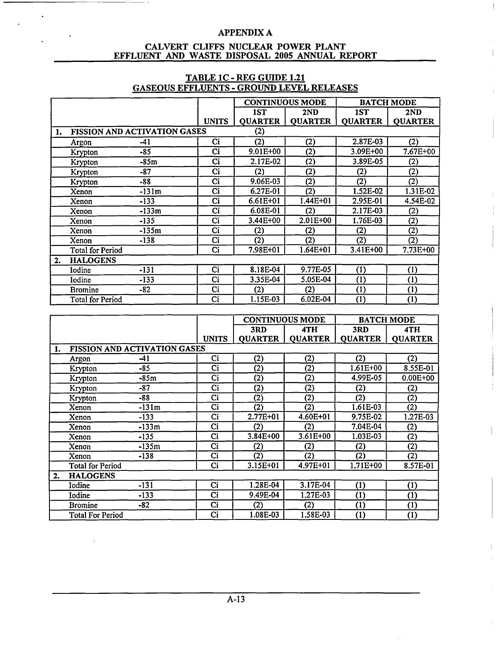$\mathbb T$ 

 $\pm$ 

#### CALVERT **CLIFFS NUCLEAR** POWER **PLANT EFFLUENT AND** WASTE **DISPOSAL 2005 ANNUAL** REPORT

#### **CONTINUOUS MODE BATCH MODE 1ST 2ND IST 2ND** UNITS | QUARTER | QUARTER | QUARTER | QUARTER **1. FISSION AND ACTIVATION GASES** (2) Argon -41 Ci (2) (2) **2.87E-03** (2) Krypton -85 Ci 9.01E+00 (2) 3.09E+00 7.67E+0 Krypton -85m Ci 2.17E-02 (2) 3.89E-05 (2) Krypton -87 Ci (2) (2) (2) (2) Krypton -88 Ci 9.06E-03 (2) (2) (2) Xenon -131m Ci 6.27E-01 (2) 1.52E-02 1.31E-0 Xenon -133 Ci 6.61E+01 1.44E+01 2.95E-01 4.54E-02 Xenon -133m Ci 6.08E-01 (2) 2.17E-03 (2) Xenon -135 Ci 3.44E+00 2.01E+00 1.76E-03 (2) Xenon -135m Ci (2) (2) (2) (2) Xenon -138 Ci (2) (2) (2) (2) Total for Period Ci 7.98E+01 1.64E+01 3.41E+00 7.73E+00 2. HALOGENS Iodine -131 Ci 8.18E-04 9.77E-05 (1) (1) Iodine -133 Ci 3.35E-04 5.05E-04 (1) (1) Bromine -82 Ci (2) (2) (1) (1) Total for Period **Ci** 1.15E-03 6.02E-04 (1) (1)

| TABLE 1C - REG GUIDE 1.21                        |
|--------------------------------------------------|
| <b>GASEOUS EFFLUENTS - GROUND LEVEL RELEASES</b> |

|    |                         |                                     |                 | <b>CONTINUOUS MODE</b> |                | <b>BATCH MODE</b> |                |
|----|-------------------------|-------------------------------------|-----------------|------------------------|----------------|-------------------|----------------|
|    |                         |                                     |                 | 3RD                    | 4TH            | 3RD               | 4TH            |
|    |                         |                                     | <b>UNITS</b>    | <b>QUARTER</b>         | <b>QUARTER</b> | <b>QUARTER</b>    | <b>QUARTER</b> |
| 1. |                         | <b>FISSION AND ACTIVATION GASES</b> |                 |                        |                |                   |                |
|    | Argon                   | -41                                 | Ci              | (2)                    | (2)            | (2)               | (2)            |
|    | Krypton                 | $-85$                               | Ci              | (2)                    | (2)            | $1.61E + 00$      | 8.55E-01       |
|    | Krypton                 | -85m                                | Ci              | (2)                    | (2)            | 4.99E-05          | $0.00E + 00$   |
|    | Krypton                 | -87                                 | Ci              | (2)                    | (2)            | (2)               | (2)            |
|    | Krypton                 | -88                                 | Ci              | (2)                    | (2)            | (2)               | (2)            |
|    | Xenon                   | $-131m$                             | $\overline{ci}$ | $\overline{(2)}$       | (2)            | 1.61E-03          | (2)            |
|    | Xenon                   | $-133$                              | Ci              | 2.77E+01               | 4.60E+01       | 9.75E-02          | 1.27E-03       |
|    | Xenon                   | -133m                               | Ci              | (2)                    | (2)            | 7.04E-04          | (2)            |
|    | Xenon                   | $-135$                              | Ci              | 3.84E+00               | 3.61E+00       | 1.03E-03          | (2)            |
|    | Xenon                   | $-135m$                             | Ci              | (2)                    | (2)            | (2)               | (2)            |
|    | Xenon                   | $-138$                              | Ci              | (2)                    | (2)            | (2)               | (2)            |
|    | <b>Total for Period</b> |                                     | Ci              | 3.15E+01               | 4.97E+01       | 1.71E+00          | 8.57E-01       |
| 2. | <b>HALOGENS</b>         |                                     |                 |                        |                |                   |                |
|    | Iodine                  | $-131$                              | Ci              | 1.28E-04               | 3.17E-04       | (1)               | (1)            |
|    | Iodine                  | $-133$                              | Ci              | 9.49E-04               | 1.27E-03       | (1)               | (1)            |
|    | <b>Bromine</b>          | $-82$                               | Ci              | (2)                    | (2)            | (1)               | (1)            |
|    | <b>Total For Period</b> |                                     | Ci              | 1.08E-03               | 1.58E-03       | (1)               | (1)            |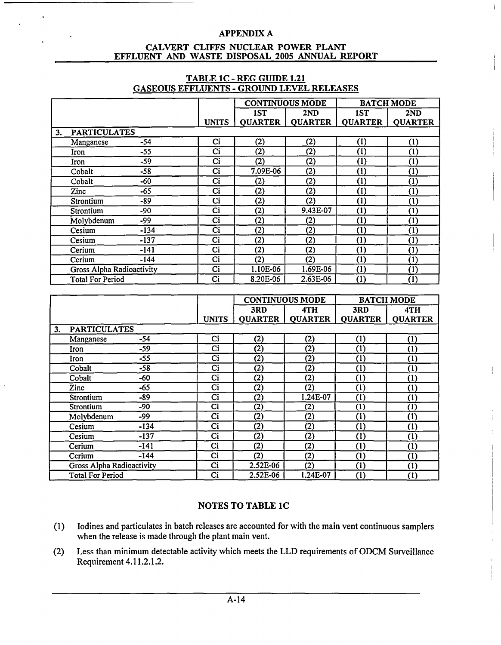$\mathbf{I}$ 

#### CALVERT **CLIFFS NUCLEAR** POWER **PLANT EFFLUENT AND** WASTE **DISPOSAL 2005 ANNUAL** REPORT

|                           |        |              |                        | <b>CONTINUOUS MODE</b> |                | <b>BATCH MODE</b> |
|---------------------------|--------|--------------|------------------------|------------------------|----------------|-------------------|
|                           |        |              | 1ST                    | 2ND                    | 1ST            | 2ND               |
|                           |        | <b>UNITS</b> | <b>QUARTER</b>         | <b>QUARTER</b>         | <b>QUARTER</b> | <b>QUARTER</b>    |
| <b>PARTICULATES</b><br>3. |        |              |                        |                        |                |                   |
| Manganese                 | $-54$  | Ci           | (2)                    | (2)                    | (1)            | (1)               |
| Iron                      | $-55$  | Ci           | (2)                    | (2)                    | (1)            | (1)               |
| Iron                      | $-59$  | Ci           | (2)                    | (2)                    | (1)            | (1)               |
| Cobalt                    | $-58$  | Ci           | 7.09E-06               | (2)                    | (1)            | (1)               |
| Cobalt                    | $-60$  | Ci           | (2)                    | (2)                    | (1)            | (1)               |
| Zinc                      | $-65$  | Ci           | (2)                    | (2)                    | (1)            | (1)               |
| Strontium                 | -89    | Ci           | (2)                    | (2)                    | (1)            | (1)               |
| Strontium                 | -90    | Ci           | (2)                    | 9.43E-07               | (1)            | (1)               |
| Molybdenum                | $-99$  | Ci           | (2)                    | (2)                    | (1)            | (1)               |
| Cesium                    | $-134$ | Ci           | (2)                    | (2)                    | (1)            | (1)               |
| Cesium                    | $-137$ | Ci           | (2)                    | (2)                    | (1)            | (1)               |
| Cerium                    | -141   | Ci           | (2)                    | (2)                    | (1)            | (1)               |
| Cerium                    | $-144$ | Ci           | (2)                    | (2)                    | (1)            | (1)               |
| Gross Alpha Radioactivity |        | Ci           | 1.10E-06               | 1.69E-06               | (1)            | (1)               |
| <b>Total For Period</b>   |        | Ci           | 8.20E-06               | 2.63E-06               | (1)            | (1)               |
|                           |        |              |                        |                        |                |                   |
|                           |        |              | <b>CONTINUOUS MODE</b> |                        |                | <b>RATCH MODE</b> |

### **TABLE 1C** - REG **GUIDE** 1.21 **GASEOUS EFFLUENTS** - **GROUND** LEVEL **RELEASES**

|    |                           |        |              |                | <b>CONTINUOUS MODE</b> |                | <b>BATCH MODE</b> |
|----|---------------------------|--------|--------------|----------------|------------------------|----------------|-------------------|
|    |                           |        |              | 3RD            | 4TH                    | 3RD            | 4TH               |
|    |                           |        | <b>UNITS</b> | <b>OUARTER</b> | <b>QUARTER</b>         | <b>QUARTER</b> | <b>QUARTER</b>    |
| 3. | <b>PARTICULATES</b>       |        |              |                |                        |                |                   |
|    | Manganese                 | $-54$  | Ci           | (2)            | (2)                    | (1)            | (1)               |
|    | Iron                      | $-59$  | Ci           | (2)            | (2)                    | (1)            | (1)               |
|    | Iron                      | $-55$  | Ci           | (2)            | (2)                    | (1)            | (1)               |
|    | Cobalt                    | $-58$  | Ci           | (2)            | (2)                    | (1)            | (1)               |
|    | Cobalt                    | -60    | Ci           | (2)            | (2)                    | (1)            | (1)               |
|    | Zinc                      | $-65$  | Ci           | (2)            | (2)                    | (1)            | (1)               |
|    | Strontium                 | -89    | Ci           | (2)            | 1.24E-07               | (1)            | (1)               |
|    | Strontium                 | -90    | Ci           | (2)            | (2)                    | (1)            | $\left(1\right)$  |
|    | Molybdenum                | -99    | Ci           | (2)            | (2)                    | (1)            | (1)               |
|    | Cesium                    | -134   | Ci           | (2)            | (2)                    | (1)            | (1)               |
|    | Cesium                    | $-137$ | Ci           | (2)            | (2)                    | (1)            | (1)               |
|    | Cerium                    | $-141$ | Ci           | (2)            | (2)                    | (1)            | (1)               |
|    | Cerium                    | $-144$ | Ci           | (2)            | (2)                    | (1)            | (1)               |
|    | Gross Alpha Radioactivity |        | Ci           | 2.52E-06       | (2)                    | (1)            | (1)               |
|    | <b>Total For Period</b>   |        | Ci           | 2.52E-06       | 1.24E-07               | (1)            | (1)               |

### NOTES TO TABLE **1C**

- $(1)$  lodines and particulates in batch releases are accounted for with the main vent continuous samplers when the release is made through the plant main vent.
- (2) Less than minimum detectable activity which meets the LLD requirements of ODCM Surveillance Requirement 4.11.2.1.2.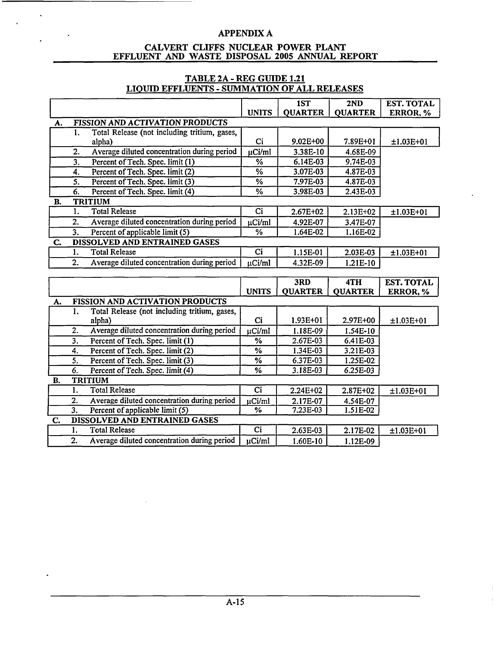#### CALVERT **CLIFFS NUCLEAR** POWER **PLANT EFFLUENT AND** WASTE **DISPOSAL 2005 ANNUAL** REPORT

### TABLE **2A** - REG GUIDE 1.21 **LIQUID EFFLUENTS** - **SUMMATION** OF **ALL RELEASES**

|           |                           |                                                                     |                           | 1ST            | 2ND            | <b>EST. TOTAL</b> |
|-----------|---------------------------|---------------------------------------------------------------------|---------------------------|----------------|----------------|-------------------|
|           |                           |                                                                     | <b>UNITS</b>              | <b>QUARTER</b> | <b>QUARTER</b> | ERROR, %          |
| А.        |                           | FISSION AND ACTIVATION PRODUCTS                                     |                           |                |                |                   |
|           | 1.                        | Total Release (not including tritium, gases,                        |                           |                |                |                   |
|           |                           | alpha)                                                              | Ci                        | $9.02E + 00$   | 7.89E+01       | $±1.03E+01$       |
|           | 2.                        | Average diluted concentration during period                         | µCi/ml                    | 3.38E-10       | 4.68E-09       |                   |
|           | $\overline{3}$ .          | Percent of Tech. Spec. limit (1)                                    | %                         | 6.14E-03       | 9.74E-03       |                   |
|           | 4.                        | Percent of Tech. Spec. limit (2)                                    | %                         | 3.07E-03       | 4.87E-03       |                   |
|           | 5.                        | Percent of Tech. Spec. limit (3)                                    | %                         | 7.97E-03       | 4.87E-03       |                   |
|           | 6.                        | Percent of Tech. Spec. limit (4)                                    | %                         | 3.98E-03       | 2.43E-03       |                   |
| В.        |                           | <b>TRITIUM</b>                                                      |                           |                |                |                   |
|           | 1.                        | <b>Total Release</b>                                                | Ci                        | $2.67E + 02$   | $2.13E+02$     | $±1.03E+01$       |
|           | 2.                        | Average diluted concentration during period                         | µCi/ml                    | 4.92E-07       | 3.47E-07       |                   |
|           | $\overline{3}$ .          | Percent of applicable limit (5)                                     | $\overline{\frac{9}{6}}$  | 1.64E-02       | 1.16E-02       |                   |
| C.        |                           | DISSOLVED AND ENTRAINED GASES                                       |                           |                |                |                   |
|           | $\mathbf{1}$ .            | <b>Total Release</b>                                                | Ci                        | 1.15E-01       | 2.03E-03       | $±1.03E+01$       |
|           | 2.                        | Average diluted concentration during period                         | µCi/ml                    | 4.32E-09       | 1.21E-10       |                   |
|           |                           |                                                                     |                           |                |                |                   |
|           |                           |                                                                     |                           |                |                |                   |
|           |                           |                                                                     |                           | 3RD            | 4TH            | <b>EST. TOTAL</b> |
|           |                           |                                                                     | <b>UNITS</b>              | <b>QUARTER</b> | <b>QUARTER</b> | ERROR, %          |
| А.        |                           | FISSION AND ACTIVATION PRODUCTS                                     |                           |                |                |                   |
|           | 1.                        | Total Release (not including tritium, gases,                        |                           |                |                |                   |
|           |                           | alpha)                                                              | Ci                        | $1.93E + 01$   | 2.97E+00       | $±1.03E+01$       |
|           | $\overline{2}$ .          | Average diluted concentration during period                         | µCi/ml                    | 1.18E-09       | 1.54E-10       |                   |
|           | 3.                        | Percent of Tech. Spec. limit (1)                                    | %                         | 2.67E-03       | 6.41E-03       |                   |
|           | 4.                        | Percent of Tech. Spec. limit (2)                                    | $\%$                      | 1.34E-03       | 3.21E-03       |                   |
|           | $\overline{\mathbf{5}}$ . | Percent of Tech. Spec. limit (3)                                    | $\overline{\frac{9}{6}}$  | 6.37E-03       | 1.25E-02       |                   |
|           | 6.                        | Percent of Tech. Spec. limit (4)                                    | %                         | 3.18E-03       | 6.25E-03       |                   |
| <b>B.</b> |                           | <b>TRITIUM</b>                                                      |                           |                |                |                   |
|           | 1.                        | <b>Total Release</b>                                                | Ci                        | 2.24E+02       | 2.87E+02       | $±1.03E+01$       |
|           | 2.                        | Average diluted concentration during period                         | µCi/ml                    | 2.17E-07       | 4.54E-07       |                   |
|           | 3.                        | Percent of applicable limit (5)                                     | %                         | 7.23E-03       | 1.51E-02       |                   |
| C.        |                           | DISSOLVED AND ENTRAINED GASES                                       |                           |                |                |                   |
|           | 1.                        | <b>Total Release</b><br>Average diluted concentration during period | $\overline{Ci}$<br>µCi/ml | 2.63E-03       | 2.17E-02       | $±1.03E+01$       |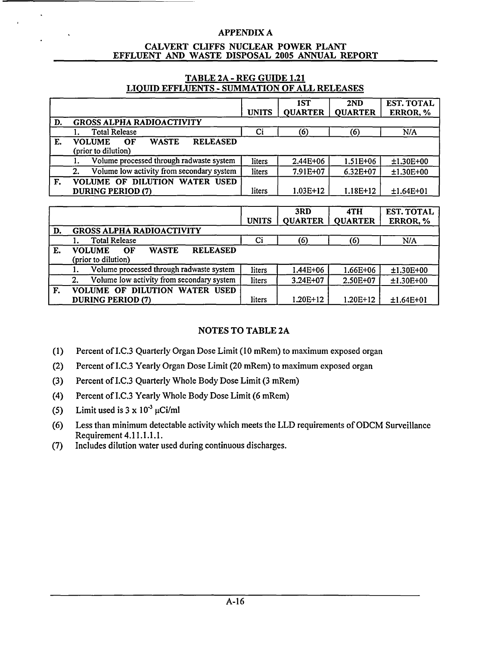#### CALVERT **CLIFFS NUCLEAR** POWER **PLANT EFFLUENT AND** WASTE **DISPOSAL 2005 ANNUAL** REPORT

### TABLE **2A** - REG **GUIDE** 1.21 **LIQUID EFFLUENTS** - **SUMMATION** OF **ALL RELEASES**

|    |                                                                               | <b>UNITS</b> | 1ST<br><b>QUARTER</b> | 2ND<br><b>QUARTER</b> | EST. TOTAL<br>ERROR, % |
|----|-------------------------------------------------------------------------------|--------------|-----------------------|-----------------------|------------------------|
| D. | <b>GROSS ALPHA RADIOACTIVITY</b>                                              |              |                       |                       |                        |
|    | <b>Total Release</b>                                                          | Ci           | (6)                   | (6)                   | N/A                    |
| E. | <b>RELEASED</b><br><b>WASTE</b><br><b>VOLUME</b><br>OF<br>(prior to dilution) |              |                       |                       |                        |
|    | Volume processed through radwaste system                                      | liters       | 2.44E+06              | $1.51E + 06$          | $±1.30E+00$            |
|    | Volume low activity from secondary system<br>2.                               | liters       | 7.91E+07              | $6.32E + 07$          | $±1.30E+00$            |
| F. | <b>VOLUME OF DILUTION WATER USED</b><br>DURING PERIOD (7)                     | liters       | $1.03E+12$            | $1.18E+12$            | $±1.64E+01$            |

|    |                                                                               |              | 3RD            | 4TH            | <b>EST. TOTAL</b> |
|----|-------------------------------------------------------------------------------|--------------|----------------|----------------|-------------------|
|    |                                                                               | <b>UNITS</b> | <b>QUARTER</b> | <b>QUARTER</b> | ERROR, %          |
| D. | <b>GROSS ALPHA RADIOACTIVITY</b>                                              |              |                |                |                   |
|    | <b>Total Release</b>                                                          | Ci           | (6)            | (6)            | N/A               |
| Е. | <b>RELEASED</b><br><b>WASTE</b><br><b>VOLUME</b><br>OF<br>(prior to dilution) |              |                |                |                   |
|    | Volume processed through radwaste system                                      | liters       | $1.44E + 06$   | 1.66E+06       | $±1.30E+00$       |
|    | Volume low activity from secondary system<br>2.                               | liters       | 3.24E+07       | 2.50E+07       | $±1.30E+00$       |
| F. | VOLUME OF DILUTION WATER USED<br>DURING PERIOD (7)                            | liters       | $1.20E+12$     | $1.20E+12$     | $±1.64E+01$       |

## **NOTES** TO TABLE **2A**

- (1) Percent of **I.C.3** Quarterly Organ Dose Limit **(10** mRem) to maximum exposed organ
- (2) Percent of **I.C.3** Yearly Organ Dose Limit (20 mRem) to maximum exposed organ
- (3) Percent of I.C.3 Quarterly Whole Body Dose Limit (3 mRem)
- (4) Percent of **I.C.3** Yearly Whole Body Dose Limit (6 mRem)
- (5) Limit used is  $3 \times 10^{-3} \mu$ Ci/ml
- (6) Less than minimum detectable activity which meets the LLD requirements of ODCM Surveillance Requirement 4.11.1.1.1.
- (7) Includes dilution water used during continuous discharges.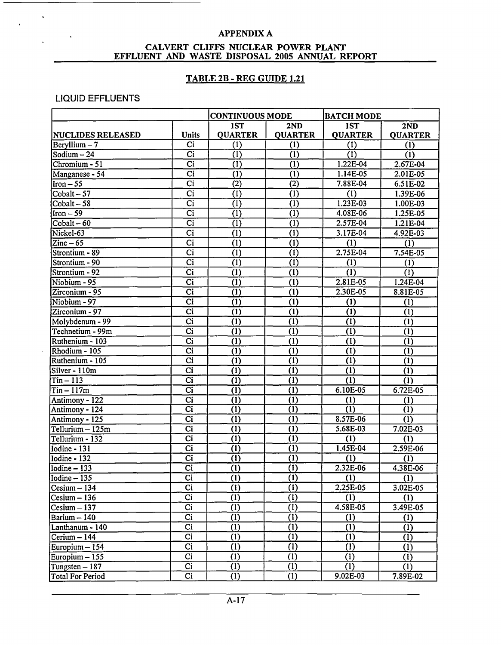#### CALVERT **CLIFFS NUCLEAR** POWER **PLANT EFFLUENT AND** WASTE DISPOSAL **2005 ANNUAL** REPORT

### TABLE **2B** - REG **GUIDE** 1.21

### LIQUID EFFLUENTS

|                                 |                        | <b>CONTINUOUS MODE</b> |                  | <b>BATCH MODE</b> |                           |
|---------------------------------|------------------------|------------------------|------------------|-------------------|---------------------------|
|                                 |                        | 1ST                    | 2ND              | <b>IST</b>        | 2ND                       |
| <b>NUCLIDES RELEASED</b>        | <b>Units</b>           | <b>QUARTER</b>         | <b>QUARTER</b>   | <b>QUARTER</b>    | <b>QUARTER</b>            |
| Beryllium $-7$                  | Ci                     | (1)                    | (1)              | (1)               | (1)                       |
| Sodium $-24$                    | $\overline{ci}$        | (1)                    | (1)              | (1)               | (1)                       |
| Chromium - 51                   | Ci                     | (1)                    | (1)              | $1.22E-04$        | 2.67E-04                  |
| Manganese - 54                  | Ci                     | (1)                    | (1)              | 1.14E-05          | 2.01E-05                  |
| $Iron - 55$                     | Ci                     | (2)                    | (2)              | 7.88E-04          | 6.51E-02                  |
| Cobalt $-57$                    | Ci                     | (1)                    | (1)              | (1)               | 1.39E-06                  |
| $\overline{\text{Cobalt}} - 58$ | Ci                     | (1)                    | (1)              | 1.23E-03          | 1.00E-03                  |
| $Iron-59$                       | Ci                     | (1)                    | (1)              | 4.08E-06          | 1.25E-05                  |
| $Cobalt - 60$                   | $\overline{Ci}$        | (1)                    | (1)              | 2.57E-04          | 1.21E-04                  |
| Nickel-63                       | Ci                     | (1)                    | (1)              | 3.17E-04          | 4.92E-03                  |
| $\text{Zinc}-65$                | Ci                     | (1)                    | (1)              | (1)               | (1)                       |
| Strontium - 89                  | $\overline{Ci}$        | $\overline{(1)}$       | $\overline{(1)}$ | 2.75E-04          | $7.54E-05$                |
| Strontium - 90                  | Ci                     | (1)                    | (1)              | (1)               | (1)                       |
| Strontium - 92                  | $\overline{Ci}$        | $\bar{1}$              | (1)              | (1)               | $\overline{(\mathbf{i})}$ |
| Niobium - 95                    | $\overline{Ci}$        | $\overline{(1)}$       | $\overline{(1)}$ | 2.81E-05          | 1.24E-04                  |
| $Zirconium - 95$                | $\overline{ci}$        | (1)                    | $\overline{(1)}$ | 2.30E-05          | 8.81E-05                  |
| Niobium - 97                    | $\overline{ci}$        | (1)                    | (1)              | (1)               | (1)                       |
| $\overline{Z}$ irconium - 97    | Ci                     | (1)                    | (1)              | (1)               | (1)                       |
| Molybdenum - 99                 | $\overline{ci}$        | (1)                    | (1)              | (1)               | (1)                       |
| Technetium - 99m                | $\overline{Ci}$        | (1)                    | (1)              | (1)               | $\overline{1}$            |
| Ruthenium - 103                 | $\overline{ci}$        | $\overline{(1)}$       | (1)              | (1)               | (1)                       |
| Rhodium - 105                   | $\overline{ci}$        | $\overline{(1)}$       | (1)              | (1)               | $\overline{(\mathbf{l})}$ |
| Ruthenium - 105                 | $\overline{ci}$        | (1)                    | $\overline{(1)}$ | $\overline{1}$    | $\overline{(\mathbf{l})}$ |
| Silver - 110m                   | $\overline{Ci}$        | (1)                    | $\overline{1}$   | (1)               | $\overline{1}$            |
| $Tin - 113$                     | $\overline{Ci}$        | (1)                    | (1)              | (1)               | (1)                       |
| $Tin - 117m$                    | $\overline{ci}$        | (1)                    | (1)              | $6.10E-05$        | 6.72E-05                  |
| Antimony - 122                  | $\overline{\text{Ci}}$ | (1)                    | (1)              | (1)               | (1)                       |
| Antimony - 124                  | Ci                     | (1)                    | $\overline{(1)}$ | $\overline{(1)}$  | (1)                       |
| Antimony - 125                  | $\overline{Ci}$        | (1)                    | (1)              | 8.57E-06          | (1)                       |
| Tellurium - 125m                | $\overline{Ci}$        | (1)                    | (1)              | 5.68E-03          | 7.02E-03                  |
| Tellurium - 132                 | Ci                     | (1)                    | (1)              | (1)               | (1)                       |
| Iodine - 131                    | $\overline{ci}$        | (1)                    | $\overline{(1)}$ | $1.45E-04$        | 2.59E-06                  |
| Iodine - 132                    | $\overline{Ci}$        | (1)                    | (1)              | (1)               | (1)                       |
| $\sqrt{\text{Iodine} - 133}$    | $\overline{ci}$        | $\overline{(1)}$       | $\overline{(1)}$ | 2.32E-06          | 4.38E-06                  |
| Iodine - 135                    | Ci                     | (1)                    | (1)              | (1)               | (1)                       |
| $Cesium - 134$                  | $\overline{\text{Ci}}$ | (1)                    | (1)              | 2.25E-05          | 3.02E-05                  |
| $Cesium - 136$                  | Ci                     | (1)                    | (1)              | (1)               | (1)                       |
| $Cesium - 137$                  | Ci                     | (1)                    | (1)              | 4.58E-05          | 3.49E-05                  |
| Barium - 140                    | Ci                     | (1)                    | (1)              | (1)               | (1)                       |
| Lanthanum - 140                 | Ci                     | (1)                    | (1)              | (1)               | (1)                       |
| Cerium - 144                    | Ci                     | (1)                    | (1)              | (1)               | (1)                       |
| Europium - 154                  | Ci                     | (1)                    | (1)              | (1)               | (1)                       |
| Europium – 155                  | $\overline{Ci}$        | (1)                    | (1)              | (1)               | (1)                       |
| Tungsten - 187                  | $\overline{Ci}$        | (1)                    | (1)              | (1)               | (1)                       |
| <b>Total For Period</b>         | Ci                     | (1)                    | (1)              | $9.02E - 03$      | 7.89E-02                  |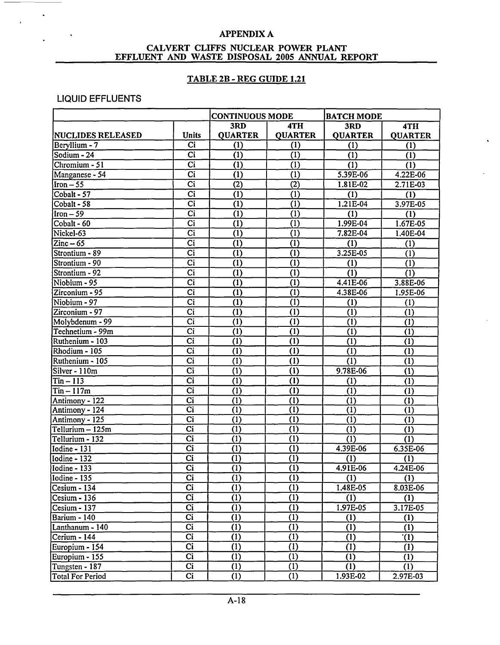#### CALVERT **CLIFFS NUCLEAR** POWER **PLANT EFFLUENT AND WASTE DISPOSAL 2005 ANNUAL REPORT**

### TABLE 2B - REG **GUIDE** 1.21

### LIQUID EFFLUENTS

 $\ddot{\phantom{a}}$ 

|                               |                        | <b>CONTINUOUS MODE</b> |                  | <b>BATCH MODE</b> |                           |
|-------------------------------|------------------------|------------------------|------------------|-------------------|---------------------------|
|                               |                        | 3RD                    | 4TH              | 3RD               | 4TH                       |
| <b>NUCLIDES RELEASED</b>      | <b>Units</b>           | <b>QUARTER</b>         | <b>QUARTER</b>   | <b>QUARTER</b>    | <b>QUARTER</b>            |
| Beryllium - 7                 | Ci                     | (1)                    | (1)              | (1)               | (1)                       |
| Sodium - 24                   | $\overline{Ci}$        | $\overline{(1)}$       | $\overline{(1)}$ | (1)               | $\overline{(1)}$          |
| Chromium - 51                 | Ci                     | (1)                    | (1)              | $\overline{(1)}$  | $\overline{(\mathbf{1})}$ |
| Manganese - 54                | Ci                     | $\overline{1}$         | (1)              | 5.39E-06          | 4.22E-06                  |
| $\overline{\text{Iron}} - 55$ | $\overline{ci}$        | (2)                    | (2)              | 1.81E-02          | 2.71E-03                  |
| Cobalt - 57                   | $\overline{ci}$        | $\overline{(1)}$       | $\overline{(1)}$ | $\overline{(1)}$  | (1)                       |
| Cobalt - 58                   | $\overline{ci}$        | $\overline{(1)}$       | $\overline{(1)}$ | 1.21E-04          | 3.97E-05                  |
| $Iron-59$                     | $\overline{ci}$        | $\overline{(1)}$       | $\overline{(1)}$ | $\overline{(1)}$  | (1)                       |
| Cobalt - 60                   | $\overline{Ci}$        | (1)                    | $\overline{1}$   | 1.99E-04          | 1.67E-05                  |
| Nickel-63                     | $\overline{ci}$        | $\overline{(1)}$       | (1)              | 7.82E-04          | 1.40E-04                  |
| $\text{Zinc}-65$              | <b>Ci</b>              | (1)                    | (1)              | (1)               | (1)                       |
| Strontium - 89                | $\overline{ci}$        | $\overline{(1)}$       | (1)              | 3.25E-05          | (1)                       |
| Strontium - 90                | $\overline{C}$ i       | $\overline{(1)}$       | $\overline{(1)}$ | (1)               | (1)                       |
| Strontium - 92                | Ci                     | (1)                    | (1)              | (1)               | $\overline{(1)}$          |
| Niobium - 95                  | $\overline{ci}$        | (1)                    | (1)              | 4.41E-06          | 3.88E-06                  |
| Zirconium - 95                | Ci                     | (1)                    | $\overline{(1)}$ | 4.38E-06          | 1.95E-06                  |
| Niobium - 97                  | Ci                     | (1)                    | (1)              | (1)               | (1)                       |
| $Zirconium - 97$              | $\overline{ci}$        | (1)                    | $\bar{1}$        | (1)               | (1)                       |
| Molybdenum - 99               | $\overline{Ci}$        | (1)                    | (1)              | (1)               | (1)                       |
| Technetium - 99m              | $\overline{Ci}$        | (1)                    | $\overline{(1)}$ | (1)               | (1)                       |
| Ruthenium - 103               | $\overline{\text{Ci}}$ | (1)                    | $\overline{(1)}$ | (1)               | (1)                       |
| Rhodium - 105                 | Ci                     | (1)                    | (1)              | (1)               | (1)                       |
| Ruthenium - 105               | Ci                     | (1)                    | (1)              | (1)               | (1)                       |
| Silver - 110m                 | Ci                     | (1)                    | (1)              | 9.78E-06          | (1)                       |
| $Tin - 113$                   | $\overline{ci}$        | (1)                    | (1)              | (1)               | (1)                       |
| $Tin - 117m$                  | $\overline{ci}$        | (1)                    | (1)              | (1)               | (1)                       |
| Antimony - 122                | $\overline{ci}$        | (1)                    | (1)              | (1)               | (1)                       |
| Antimony - 124                | $\overline{\text{Ci}}$ | (1)                    | (1)              | $\overline{1}$    | $\overline{(1)}$          |
| Antimony - 125                | Ci                     | (1)                    | (1)              | (1)               | (1)                       |
| Tellurium - 125m              | Ci                     | (1)                    | (1)              | (1)               | (1)                       |
| Tellurium - 132               | $\overline{ci}$        | (1)                    | (1)              | (1)               | (1)                       |
| Iodine - 131                  | Ci                     | (1)                    | (1)              | 4.39E-06          | 6.35E-06                  |
| Iodine - 132                  | <b>Ci</b>              | (1)                    | (1)              | (1)               | (1)                       |
| Iodine - 133                  | $\overline{Ci}$        | $\overline{(1)}$       | $\overline{(1)}$ | 4.91E-06          | 4.24E-06                  |
| Iodine - 135                  | Ci                     | (1)                    | (1)              | (1)               | (1)                       |
| Cesium - 134                  | Ci                     | (1)                    | (1)              | 1.48E-05          | 8.03E-06                  |
| Cesium - 136                  | $\overline{Ci}$        | (1)                    | (1)              | (1)               | (1)                       |
| Cesium - 137                  | $\overline{Ci}$        | (1)                    | (1)              | 1.97E-05          | 3.17E-05                  |
| Barium - 140                  | $\overline{Ci}$        | $\overline{(1)}$       | (1)              | (1)               | (1)                       |
| Lanthanum - 140               | $\overline{Ci}$        | $\overline{(1)}$       | (1)              | (1)               | (1)                       |
| Cerium - 144                  | Ci                     | (1)                    | (1)              | (1)               | $^{\prime}(1)$            |
| Europium - 154                | $\overline{C}$         | (1)                    | (1)              | (1)               | (1)                       |
| Europium - 155                | Ci                     | (1)                    | (1)              | (1)               | (1)                       |
| Tungsten - 187                | $\overline{\text{Ci}}$ | (1)                    | (1)              | (1)               | (1)                       |
| <b>Total For Period</b>       | $\overline{ci}$        | (1)                    | (1)              | 1.93E-02          | 2.97E-03                  |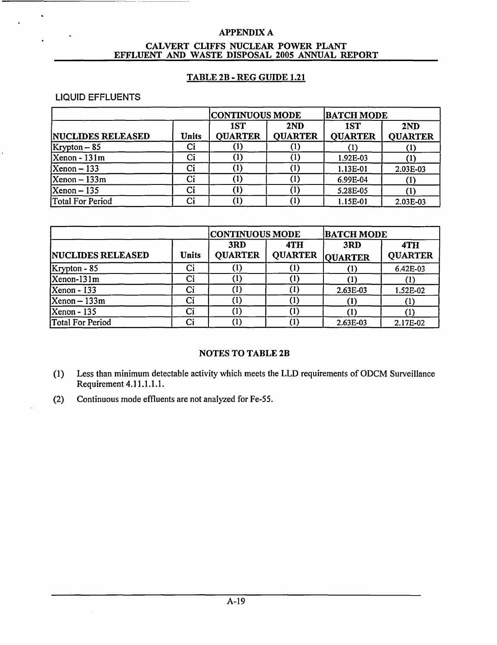#### CALVERT CLIFFS NUCLEAR POWER PLANT EFFLUENT AND WASTE DISPOSAL 2005 ANNUAL REPORT

### TABLE 2B - REG GUIDE 1.21

### LIQUID EFFLUENTS

 $\sim$ 

|                          | <b> CONTINUOUS MODE</b> |                       | <b>BATCH MODE</b>     |                       |                       |
|--------------------------|-------------------------|-----------------------|-----------------------|-----------------------|-----------------------|
| <b>NUCLIDES RELEASED</b> | <b>Units</b>            | 1ST<br><b>QUARTER</b> | 2ND<br><b>QUARTER</b> | 1ST<br><b>QUARTER</b> | 2ND<br><b>QUARTER</b> |
| $Krypton-85$             | Ci                      |                       |                       |                       |                       |
| $Xenon - 131m$           | Ci                      | (1)                   |                       | 1.92E-03              |                       |
| $Xenon - 133$            | Ci                      | 〔1〕                   |                       | 1.13E-01              | 2.03E-03              |
| $Xenon - 133m$           | Ci                      |                       |                       | 6.99E-04              |                       |
| $Xenon - 135$            | Ci                      | $\left( 1\right)$     |                       | 5.28E-05              |                       |
| Total For Period         | Ci                      | (1)                   |                       | 1.15E-01              | 2.03E-03              |

|                          |              | <b>CONTINUOUS MODE</b> |                       | <b>BATCH MODE</b>     |                       |
|--------------------------|--------------|------------------------|-----------------------|-----------------------|-----------------------|
| <b>NUCLIDES RELEASED</b> | <b>Units</b> | 3RD<br><b>QUARTER</b>  | 4TH<br><b>QUARTER</b> | 3RD<br><b>QUARTER</b> | 4TH<br><b>QUARTER</b> |
| $Krypton - 85$           | Ci           |                        |                       |                       | 6.42E-03              |
| $Xenon-131m$             | Ci           | (1)                    |                       |                       |                       |
| <b>Xenon</b> - 133       | Ci           | (1)                    | (1)                   | 2.63E-03              | 1.52E-02              |
| $Xenon - 133m$           | Ci           | (1)                    | (1)                   |                       |                       |
| $Xenon - 135$            | Ci           | (1)                    |                       |                       |                       |
| Total For Period         | Ci           | (1)                    |                       | 2.63E-03              | 2.17E-02              |

### NOTES TO TABLE 2B

- (1) Less than minimum detectable activity which meets the LLD requirements of ODCM Surveillance Requirement 4.11.1.1.1.
- (2) Continuous mode effluents are not analyzed for Fe-55.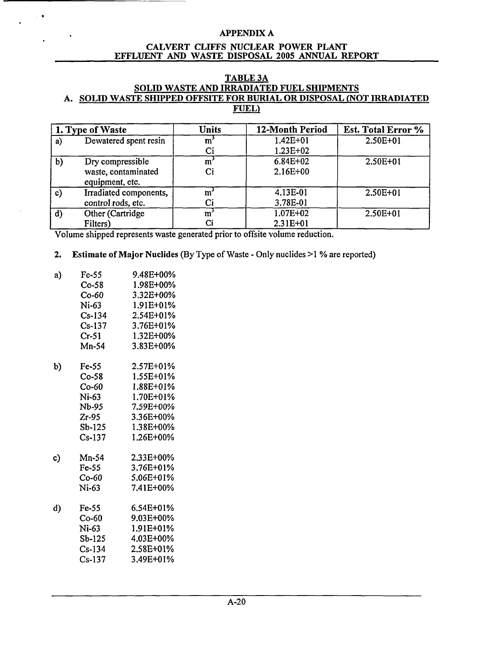#### CALVERT **CLIFFS NUCLEAR** POWER **PLANT EFFLUENT AND** WASTE DISPOSAL **2005 ANNUAL** REPORT

#### **TABLE 3A SOLID** WASTE **AND** IRRADIATED **FUEL SHIPMENTS A. SOLID** WASTE **SHIPPED OFFSITE** FOR BURIAL OR **DISPOSAL (NOT** IRRADIATED **FUEL)**

|              | 1. Type of Waste                                           | <b>Units</b> | 12-Month Period            | Est. Total Error % |  |
|--------------|------------------------------------------------------------|--------------|----------------------------|--------------------|--|
| a)           | Dewatered spent resin                                      | m<br>Ci      | 1.42E+01<br>$1.23E+02$     | $2.50E + 01$       |  |
| b)           | Dry compressible<br>waste, contaminated<br>equipment, etc. | m<br>Ci      | 6.84E+02<br>$2.16E+00$     | $2.50E + 01$       |  |
| $\mathbf{c}$ | Irradiated components,<br>control rods, etc.               | m<br>Ci      | 4.13E-01<br>3.78E-01       | 2.50E+01           |  |
| $\mathbf{d}$ | Other (Cartridge<br>Filters)                               | m            | $1.07E + 02$<br>$2.31E+01$ | 2.50E+01           |  |

Volume shipped represents waste generated prior to offsite volume reduction.

### 2. Estimate of Major Nuclides (By Type of Waste - Only nuclides >1 % are reported)

| a) | $Fe-55$  | 9.48E+00%     |
|----|----------|---------------|
|    | $Co-58$  | 1.98E+00%     |
|    | $Co-60$  | 3.32E+00%     |
|    | Ni-63    | 1.91E+01%     |
|    | $Cs-134$ | 2.54E+01%     |
|    | $Cs-137$ | $3.76E + 01%$ |
|    | $Cr-51$  | 1.32E+00%     |
|    | Mn-54    | 3.83E+00%     |
| b) | Fe-55    | 2.57E+01%     |
|    | $Co-58$  | 1.55E+01%     |
|    | Co-60    | 1.88E+01%     |
|    | $Ni-63$  | 1.70E+01%     |
|    | Nb-95    | 7.59E+00%     |
|    | $Zr-95$  | 3.36E+00%     |
|    | $Sb-125$ | 1.38E+00%     |
|    | $Cs-137$ | 1.26E+00%     |
| c) | $Mn-54$  | 2.33E+00%     |
|    | $Fe-55$  | 3.76E+01%     |
|    | Co-60    | 5.06E+01%     |
|    | Ni-63    | 7.41E+00%     |
| d) | $Fe-55$  | 6.54E+01%     |
|    | $Co-60$  | 9.03E+00%     |
|    | Ni-63    | 1.91E+01%     |
|    | Sb-125   | 4.03E+00%     |
|    | Cs-134   | 2.58E+01%     |
|    | $Cs-137$ | 3.49E+01%     |